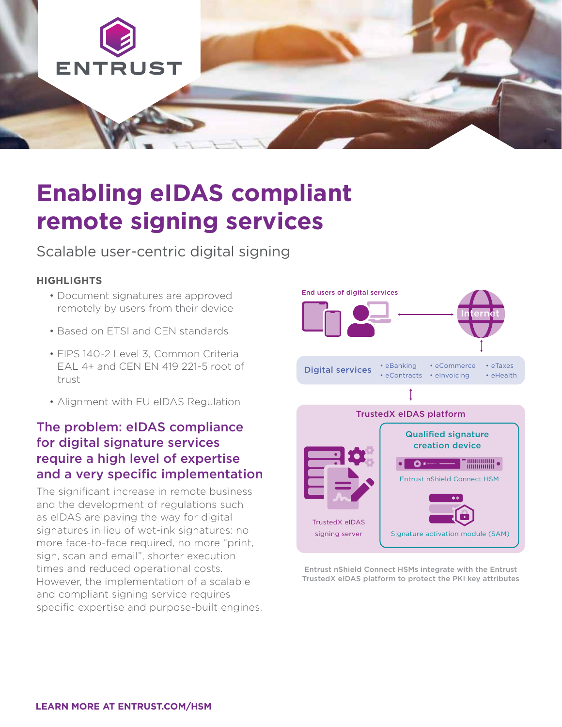

# **Enabling eIDAS compliant remote signing services**

## Scalable user-centric digital signing

#### **HIGHLIGHTS**

- Document signatures are approved remotely by users from their device
- Based on ETSI and CEN standards
- FIPS 140-2 Level 3, Common Criteria EAL 4+ and CEN EN 419 221-5 root of trust
- Alignment with EU eIDAS Regulation

### The problem: eIDAS compliance for digital signature services require a high level of expertise and a very specific implementation

The significant increase in remote business and the development of regulations such as eIDAS are paving the way for digital signatures in lieu of wet-ink signatures: no more face-to-face required, no more "print, sign, scan and email", shorter execution times and reduced operational costs. However, the implementation of a scalable and compliant signing service requires specific expertise and purpose-built engines.



Entrust nShield Connect HSMs integrate with the Entrust TrustedX eIDAS platform to protect the PKI key attributes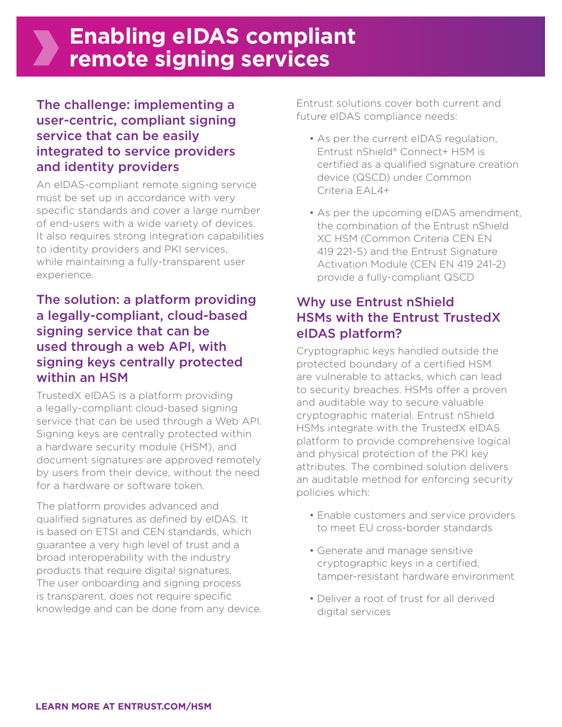# **Enabling eIDAS compliant remote signing services**

### The challenge: implementing a user-centric, compliant signing service that can be easily integrated to service providers and identity providers

An eIDAS-compliant remote signing service must be set up in accordance with very specific standards and cover a large number of end-users with a wide variety of devices. It also requires strong integration capabilities to identity providers and PKI services, while maintaining a fully-transparent user experience.

### The solution: a platform providing a legally-compliant, cloud-based signing service that can be used through a web API, with signing keys centrally protected within an HSM

TrustedX eIDAS is a platform providing a legally-compliant cloud-based signing service that can be used through a Web API. Signing keys are centrally protected within a hardware security module (HSM), and document signatures are approved remotely by users from their device, without the need for a hardware or software token.

The platform provides advanced and qualified signatures as defined by eIDAS. It is based on ETSI and CEN standards, which guarantee a very high level of trust and a broad interoperability with the industry products that require digital signatures. The user onboarding and signing process is transparent, does not require specific knowledge and can be done from any device. Entrust solutions cover both current and future eIDAS compliance needs:

- As per the current eIDAS regulation, Entrust nShield® Connect+ HSM is certified as a qualified signature creation device (QSCD) under Common Criteria EAL4+
- As per the upcoming eIDAS amendment, the combination of the Entrust nShield XC HSM (Common Criteria CEN EN 419 221-5) and the Entrust Signature Activation Module (CEN EN 419 241-2) provide a fully-compliant QSCD

### Why use Entrust nShield HSMs with the Entrust TrustedX eIDAS platform?

Cryptographic keys handled outside the protected boundary of a certified HSM are vulnerable to attacks, which can lead to security breaches. HSMs offer a proven and auditable way to secure valuable cryptographic material. Entrust nShield HSMs integrate with the TrustedX eIDAS platform to provide comprehensive logical and physical protection of the PKI key attributes. The combined solution delivers an auditable method for enforcing security policies which:

- Enable customers and service providers to meet EU cross-border standards
- Generate and manage sensitive cryptographic keys in a certified, tamper-resistant hardware environment
- Deliver a root of trust for all derived digital services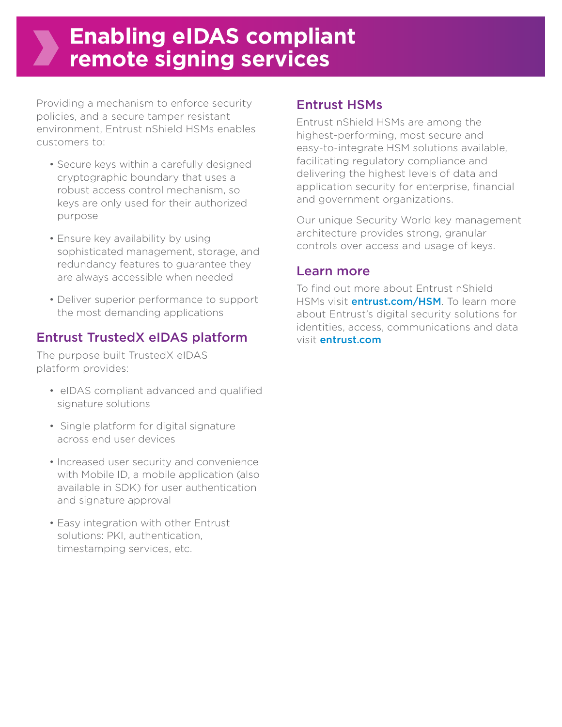# **Enabling eIDAS compliant remote signing services**

Providing a mechanism to enforce security policies, and a secure tamper resistant environment, Entrust nShield HSMs enables customers to:

- Secure keys within a carefully designed cryptographic boundary that uses a robust access control mechanism, so keys are only used for their authorized purpose
- Ensure key availability by using sophisticated management, storage, and redundancy features to guarantee they are always accessible when needed
- Deliver superior performance to support the most demanding applications

### Entrust TrustedX eIDAS platform

The purpose built TrustedX eIDAS platform provides:

- eIDAS compliant advanced and qualified signature solutions
- Single platform for digital signature across end user devices
- Increased user security and convenience with Mobile ID, a mobile application (also available in SDK) for user authentication and signature approval
- Easy integration with other Entrust solutions: PKI, authentication, timestamping services, etc.

#### Entrust HSMs

Entrust nShield HSMs are among the highest-performing, most secure and easy-to-integrate HSM solutions available, facilitating regulatory compliance and delivering the highest levels of data and application security for enterprise, financial and government organizations.

Our unique Security World key management architecture provides strong, granular controls over access and usage of keys.

#### Learn more

To find out more about Entrust nShield HSMs visit *[entrust.com/HSM](http://entrust.com/HSM)*. To learn more about Entrust's digital security solutions for identities, access, communications and data visit [entrust.com](http://entrust.com)